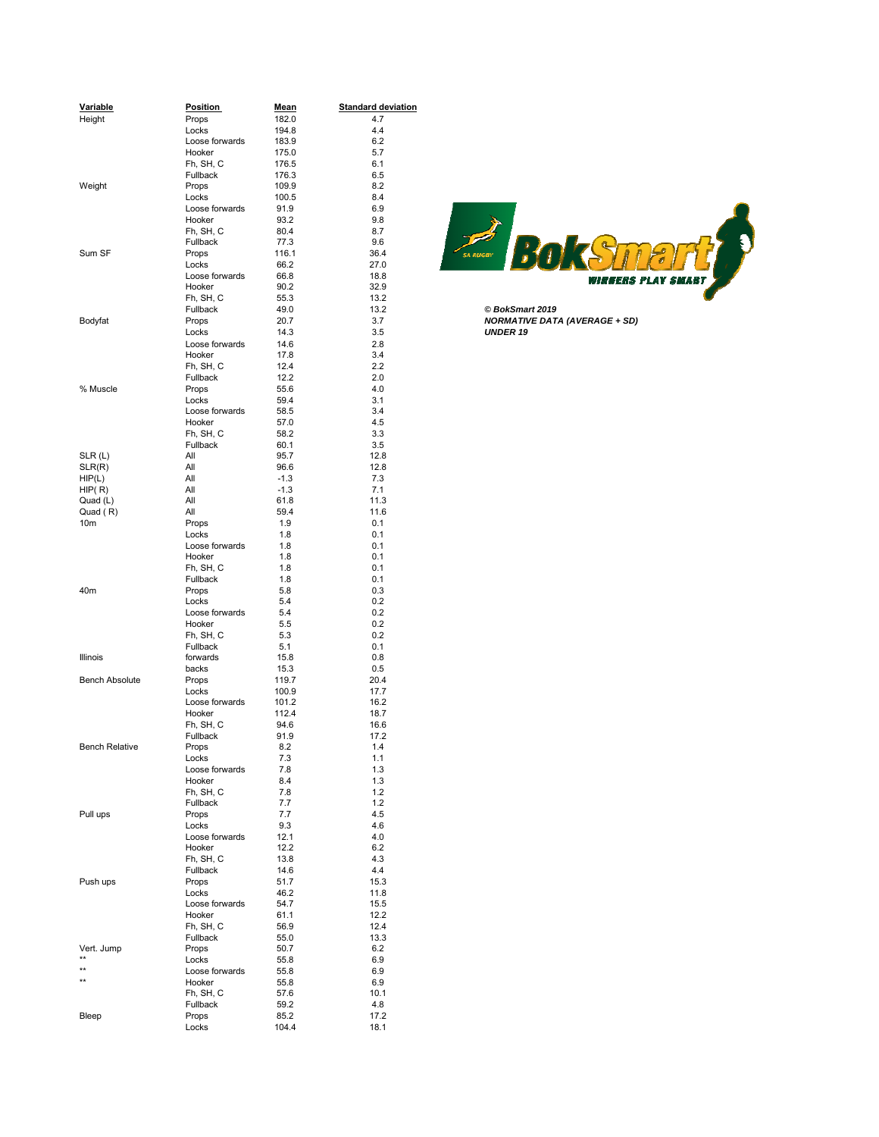| Variable              | <b>Position</b>          | <u>Mean</u>  | <b>Standard deviation</b> |                                      |
|-----------------------|--------------------------|--------------|---------------------------|--------------------------------------|
| Height                | Props                    | 182.0        | 4.7                       |                                      |
|                       | Locks                    | 194.8        | 4.4                       |                                      |
|                       | Loose forwards           | 183.9        | 6.2                       |                                      |
|                       | Hooker                   | 175.0        | 5.7                       |                                      |
|                       | Fh, SH, C                | 176.5        | 6.1                       |                                      |
|                       | Fullback                 | 176.3        | 6.5                       |                                      |
| Weight                | Props                    | 109.9        | 8.2                       |                                      |
|                       | Locks                    | 100.5        | 8.4                       |                                      |
|                       | Loose forwards           | 91.9         | 6.9                       |                                      |
|                       | Hooker                   | 93.2         | 9.8                       |                                      |
|                       | Fh, SH, C                | 80.4         | 8.7                       |                                      |
|                       | Fullback                 | 77.3         | 9.6                       | BokS                                 |
| Sum SF                | Props                    | 116.1        | 36.4                      | .<br>SA RUGBY                        |
|                       | Locks                    | 66.2         | 27.0                      |                                      |
|                       | Loose forwards           | 66.8         | 18.8                      | 71 TERS                              |
|                       | Hooker<br>Fh, SH, C      | 90.2<br>55.3 | 32.9<br>13.2              |                                      |
|                       | Fullback                 | 49.0         | 13.2                      | © BokSmart 2019                      |
| Bodyfat               | Props                    | 20.7         | 3.7                       | <b>NORMATIVE DATA (AVERAGE + SD)</b> |
|                       | Locks                    | 14.3         | 3.5                       | <b>UNDER 19</b>                      |
|                       | Loose forwards           | 14.6         | 2.8                       |                                      |
|                       | Hooker                   | 17.8         | 3.4                       |                                      |
|                       | Fh, SH, C                | 12.4         | 2.2                       |                                      |
|                       | Fullback                 | 12.2         | 2.0                       |                                      |
| % Muscle              | Props                    | 55.6         | 4.0                       |                                      |
|                       | Locks                    | 59.4         | 3.1                       |                                      |
|                       | Loose forwards           | 58.5         | 3.4                       |                                      |
|                       | Hooker                   | 57.0         | 4.5                       |                                      |
|                       | Fh, SH, C                | 58.2         | 3.3                       |                                      |
|                       | Fullback                 | 60.1         | 3.5                       |                                      |
| SLR(L)                | All                      | 95.7         | 12.8                      |                                      |
| SLR(R)                | All                      | 96.6         | 12.8                      |                                      |
| HIP(L)                | All                      | $-1.3$       | 7.3                       |                                      |
| HIP(R)                | All                      | $-1.3$       | 7.1                       |                                      |
| Quad (L)              | All                      | 61.8         | 11.3                      |                                      |
| Quad (R)              | All                      | 59.4         | 11.6                      |                                      |
| 10 <sub>m</sub>       | Props<br>Locks           | 1.9<br>1.8   | 0.1<br>0.1                |                                      |
|                       | Loose forwards           | 1.8          | 0.1                       |                                      |
|                       | Hooker                   | 1.8          | 0.1                       |                                      |
|                       | Fh, SH, C                | 1.8          | 0.1                       |                                      |
|                       | Fullback                 | 1.8          | 0.1                       |                                      |
| 40m                   | Props                    | 5.8          | 0.3                       |                                      |
|                       | Locks                    | 5.4          | 0.2                       |                                      |
|                       | Loose forwards           | 5.4          | 0.2                       |                                      |
|                       | Hooker                   | 5.5          | 0.2                       |                                      |
|                       | Fh, SH, C                | 5.3          | 0.2                       |                                      |
|                       | Fullback                 | 5.1          | 0.1                       |                                      |
| Illinois              | forwards<br>backs        | 15.8<br>15.3 | 0.8<br>0.5                |                                      |
| <b>Bench Absolute</b> | Props                    | 119.7        | 20.4                      |                                      |
|                       | Locks                    | 100.9        | 17.7                      |                                      |
|                       | Loose forwards           | 101.2        | 16.2                      |                                      |
|                       | Hooker                   | 112.4        | 18.7                      |                                      |
|                       | Fh, SH, C                | 94.6         | 16.6                      |                                      |
|                       | Fullback                 | 91.9         | 17.2                      |                                      |
| <b>Bench Relative</b> | Props                    | 8.2          | 1.4                       |                                      |
|                       | Locks                    | 7.3          | 1.1                       |                                      |
|                       | Loose forwards           | 7.8          | 1.3                       |                                      |
|                       | Hooker                   | 8.4          | 1.3                       |                                      |
|                       | Fh, SH, C                | 7.8          | 1.2                       |                                      |
|                       | Fullback                 | 7.7          | 1.2                       |                                      |
| Pull ups              | Props                    | 7.7          | 4.5                       |                                      |
|                       | Locks<br>Loose forwards  | 9.3          | 4.6<br>4.0                |                                      |
|                       | Hooker                   | 12.1<br>12.2 | 6.2                       |                                      |
|                       | Fh, SH, C                | 13.8         | 4.3                       |                                      |
|                       | Fullback                 | 14.6         | 4.4                       |                                      |
| Push ups              | Props                    | 51.7         | 15.3                      |                                      |
|                       | Locks                    | 46.2         | 11.8                      |                                      |
|                       | Loose forwards           | 54.7         | 15.5                      |                                      |
|                       | Hooker                   | 61.1         | 12.2                      |                                      |
|                       | Fh, SH, C                | 56.9         | 12.4                      |                                      |
|                       | Fullback                 | 55.0         | 13.3                      |                                      |
| Vert. Jump<br>$**$    | Props                    | 50.7         | 6.2                       |                                      |
| **                    | Locks                    | 55.8         | 6.9                       |                                      |
| $**$                  | Loose forwards<br>Hooker | 55.8<br>55.8 | 6.9<br>6.9                |                                      |
|                       | Fh, SH, C                | 57.6         | 10.1                      |                                      |
|                       | Fullback                 | 59.2         | 4.8                       |                                      |
| Bleep                 | Props                    | 85.2         | 17.2                      |                                      |
|                       | Locks                    | 104.4        | 18.1                      |                                      |